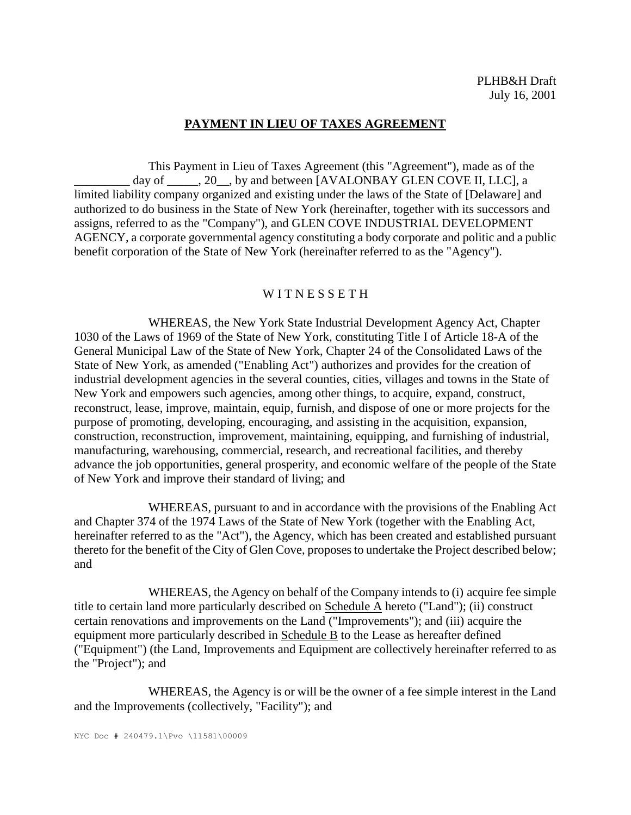# **PAYMENT IN LIEU OF TAXES AGREEMENT**

This Payment in Lieu of Taxes Agreement (this "Agreement"), made as of the day of  $\_\_\_\_$ , 20, by and between [AVALONBAY GLEN COVE II, LLC], a limited liability company organized and existing under the laws of the State of [Delaware] and authorized to do business in the State of New York (hereinafter, together with its successors and assigns, referred to as the "Company"), and GLEN COVE INDUSTRIAL DEVELOPMENT AGENCY, a corporate governmental agency constituting a body corporate and politic and a public benefit corporation of the State of New York (hereinafter referred to as the "Agency").

### W I T N E S S E T H

WHEREAS, the New York State Industrial Development Agency Act, Chapter 1030 of the Laws of 1969 of the State of New York, constituting Title I of Article 18-A of the General Municipal Law of the State of New York, Chapter 24 of the Consolidated Laws of the State of New York, as amended ("Enabling Act") authorizes and provides for the creation of industrial development agencies in the several counties, cities, villages and towns in the State of New York and empowers such agencies, among other things, to acquire, expand, construct, reconstruct, lease, improve, maintain, equip, furnish, and dispose of one or more projects for the purpose of promoting, developing, encouraging, and assisting in the acquisition, expansion, construction, reconstruction, improvement, maintaining, equipping, and furnishing of industrial, manufacturing, warehousing, commercial, research, and recreational facilities, and thereby advance the job opportunities, general prosperity, and economic welfare of the people of the State of New York and improve their standard of living; and

WHEREAS, pursuant to and in accordance with the provisions of the Enabling Act and Chapter 374 of the 1974 Laws of the State of New York (together with the Enabling Act, hereinafter referred to as the "Act"), the Agency, which has been created and established pursuant thereto for the benefit of the City of Glen Cove, proposes to undertake the Project described below; and

WHEREAS, the Agency on behalf of the Company intends to (i) acquire fee simple title to certain land more particularly described on Schedule A hereto ("Land"); (ii) construct certain renovations and improvements on the Land ("Improvements"); and (iii) acquire the equipment more particularly described in Schedule B to the Lease as hereafter defined ("Equipment") (the Land, Improvements and Equipment are collectively hereinafter referred to as the "Project"); and

WHEREAS, the Agency is or will be the owner of a fee simple interest in the Land and the Improvements (collectively, "Facility"); and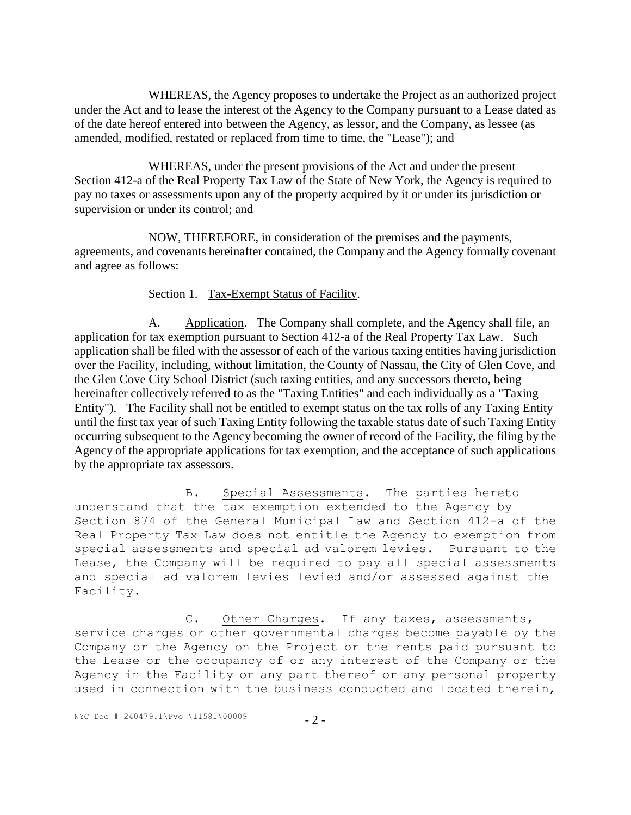WHEREAS, the Agency proposes to undertake the Project as an authorized project under the Act and to lease the interest of the Agency to the Company pursuant to a Lease dated as of the date hereof entered into between the Agency, as lessor, and the Company, as lessee (as amended, modified, restated or replaced from time to time, the "Lease"); and

WHEREAS, under the present provisions of the Act and under the present Section 412-a of the Real Property Tax Law of the State of New York, the Agency is required to pay no taxes or assessments upon any of the property acquired by it or under its jurisdiction or supervision or under its control; and

NOW, THEREFORE, in consideration of the premises and the payments, agreements, and covenants hereinafter contained, the Company and the Agency formally covenant and agree as follows:

# Section 1. Tax-Exempt Status of Facility.

A. Application. The Company shall complete, and the Agency shall file, an application for tax exemption pursuant to Section 412-a of the Real Property Tax Law. Such application shall be filed with the assessor of each of the various taxing entities having jurisdiction over the Facility, including, without limitation, the County of Nassau, the City of Glen Cove, and the Glen Cove City School District (such taxing entities, and any successors thereto, being hereinafter collectively referred to as the "Taxing Entities" and each individually as a "Taxing Entity"). The Facility shall not be entitled to exempt status on the tax rolls of any Taxing Entity until the first tax year of such Taxing Entity following the taxable status date of such Taxing Entity occurring subsequent to the Agency becoming the owner of record of the Facility, the filing by the Agency of the appropriate applications for tax exemption, and the acceptance of such applications by the appropriate tax assessors.

B. Special Assessments. The parties hereto understand that the tax exemption extended to the Agency by Section 874 of the General Municipal Law and Section 412-a of the Real Property Tax Law does not entitle the Agency to exemption from special assessments and special ad valorem levies. Pursuant to the Lease, the Company will be required to pay all special assessments and special ad valorem levies levied and/or assessed against the Facility.

C. Other Charges. If any taxes, assessments, service charges or other governmental charges become payable by the Company or the Agency on the Project or the rents paid pursuant to the Lease or the occupancy of or any interest of the Company or the Agency in the Facility or any part thereof or any personal property used in connection with the business conducted and located therein,

NYC Doc # 240479.1\Pvo \11581\00009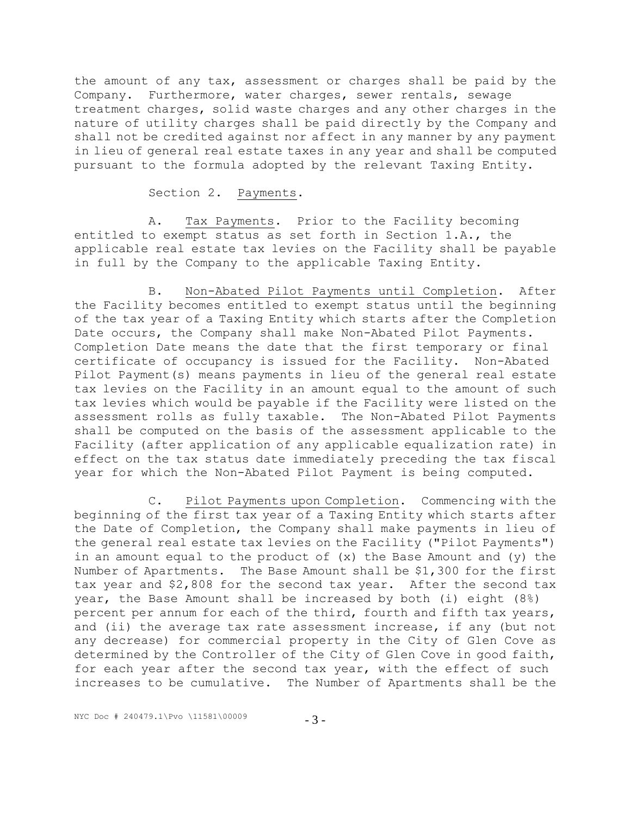the amount of any tax, assessment or charges shall be paid by the Company. Furthermore, water charges, sewer rentals, sewage treatment charges, solid waste charges and any other charges in the nature of utility charges shall be paid directly by the Company and shall not be credited against nor affect in any manner by any payment in lieu of general real estate taxes in any year and shall be computed pursuant to the formula adopted by the relevant Taxing Entity.

#### Section 2. Payments.

A. Tax Payments. Prior to the Facility becoming entitled to exempt status as set forth in Section 1.A., the applicable real estate tax levies on the Facility shall be payable in full by the Company to the applicable Taxing Entity.

B. Non-Abated Pilot Payments until Completion. After the Facility becomes entitled to exempt status until the beginning of the tax year of a Taxing Entity which starts after the Completion Date occurs, the Company shall make Non-Abated Pilot Payments. Completion Date means the date that the first temporary or final certificate of occupancy is issued for the Facility. Non-Abated Pilot Payment(s) means payments in lieu of the general real estate tax levies on the Facility in an amount equal to the amount of such tax levies which would be payable if the Facility were listed on the assessment rolls as fully taxable. The Non-Abated Pilot Payments shall be computed on the basis of the assessment applicable to the Facility (after application of any applicable equalization rate) in effect on the tax status date immediately preceding the tax fiscal year for which the Non-Abated Pilot Payment is being computed.

C. Pilot Payments upon Completion. Commencing with the beginning of the first tax year of a Taxing Entity which starts after the Date of Completion, the Company shall make payments in lieu of the general real estate tax levies on the Facility ("Pilot Payments") in an amount equal to the product of  $(x)$  the Base Amount and  $(y)$  the Number of Apartments. The Base Amount shall be \$1,300 for the first tax year and \$2,808 for the second tax year. After the second tax year, the Base Amount shall be increased by both (i) eight (8%) percent per annum for each of the third, fourth and fifth tax years, and (ii) the average tax rate assessment increase, if any (but not any decrease) for commercial property in the City of Glen Cove as determined by the Controller of the City of Glen Cove in good faith, for each year after the second tax year, with the effect of such increases to be cumulative. The Number of Apartments shall be the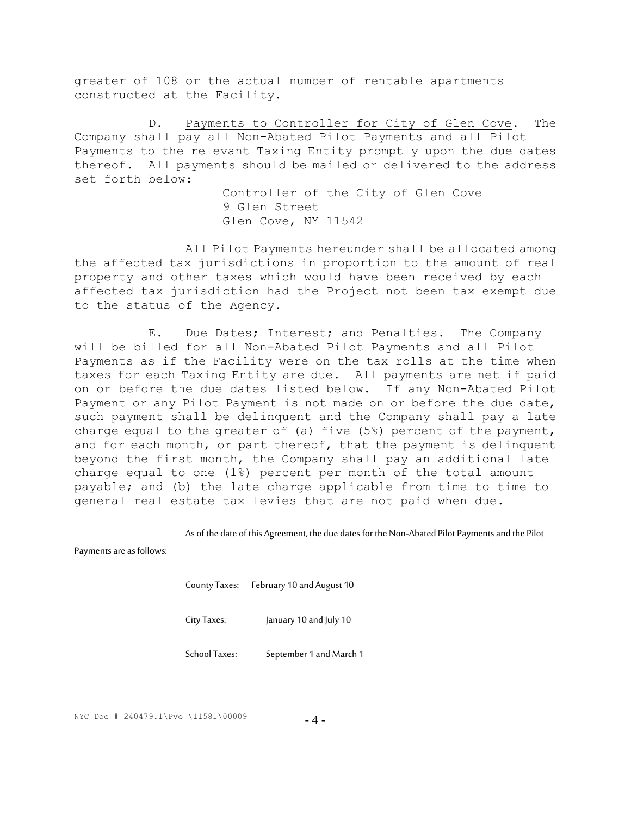greater of 108 or the actual number of rentable apartments constructed at the Facility.

D. Payments to Controller for City of Glen Cove. The Company shall pay all Non-Abated Pilot Payments and all Pilot Payments to the relevant Taxing Entity promptly upon the due dates thereof. All payments should be mailed or delivered to the address set forth below:

> Controller of the City of Glen Cove 9 Glen Street Glen Cove, NY 11542

All Pilot Payments hereunder shall be allocated among the affected tax jurisdictions in proportion to the amount of real property and other taxes which would have been received by each affected tax jurisdiction had the Project not been tax exempt due to the status of the Agency.

E. Due Dates; Interest; and Penalties. The Company will be billed for all Non-Abated Pilot Payments and all Pilot Payments as if the Facility were on the tax rolls at the time when taxes for each Taxing Entity are due. All payments are net if paid on or before the due dates listed below. If any Non-Abated Pilot Payment or any Pilot Payment is not made on or before the due date, such payment shall be delinquent and the Company shall pay a late charge equal to the greater of (a) five (5%) percent of the payment, and for each month, or part thereof, that the payment is delinquent beyond the first month, the Company shall pay an additional late charge equal to one (1%) percent per month of the total amount payable; and (b) the late charge applicable from time to time to general real estate tax levies that are not paid when due.

As of the date of this Agreement, the due dates for the Non-Abated Pilot Payments and the Pilot

Payments are as follows:

County Taxes: February 10 and August 10

City Taxes: January 10 and July 10

School Taxes: September 1 and March 1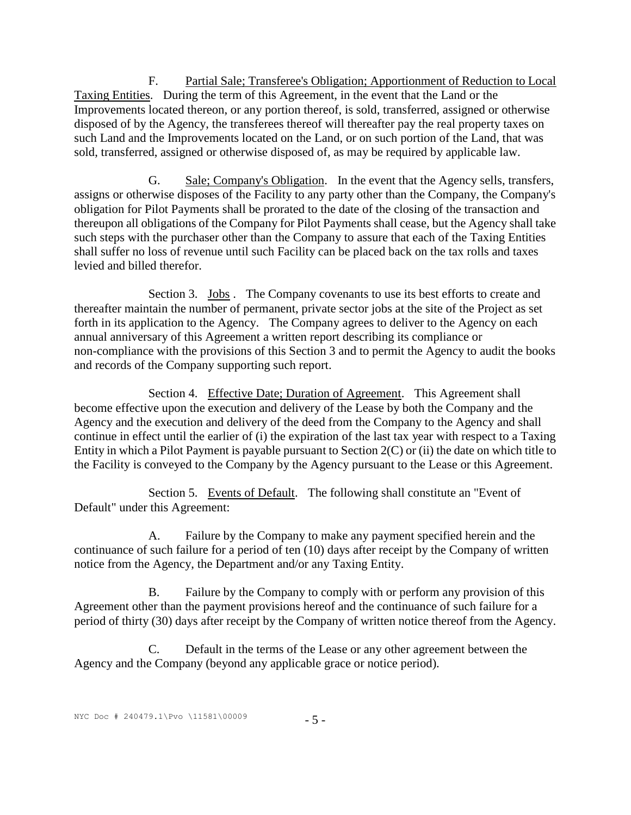F. Partial Sale; Transferee's Obligation; Apportionment of Reduction to Local Taxing Entities. During the term of this Agreement, in the event that the Land or the Improvements located thereon, or any portion thereof, is sold, transferred, assigned or otherwise disposed of by the Agency, the transferees thereof will thereafter pay the real property taxes on such Land and the Improvements located on the Land, or on such portion of the Land, that was sold, transferred, assigned or otherwise disposed of, as may be required by applicable law.

G. Sale; Company's Obligation. In the event that the Agency sells, transfers, assigns or otherwise disposes of the Facility to any party other than the Company, the Company's obligation for Pilot Payments shall be prorated to the date of the closing of the transaction and thereupon all obligations of the Company for Pilot Payments shall cease, but the Agency shall take such steps with the purchaser other than the Company to assure that each of the Taxing Entities shall suffer no loss of revenue until such Facility can be placed back on the tax rolls and taxes levied and billed therefor.

Section 3. Jobs . The Company covenants to use its best efforts to create and thereafter maintain the number of permanent, private sector jobs at the site of the Project as set forth in its application to the Agency. The Company agrees to deliver to the Agency on each annual anniversary of this Agreement a written report describing its compliance or non-compliance with the provisions of this Section 3 and to permit the Agency to audit the books and records of the Company supporting such report.

Section 4. Effective Date; Duration of Agreement. This Agreement shall become effective upon the execution and delivery of the Lease by both the Company and the Agency and the execution and delivery of the deed from the Company to the Agency and shall continue in effect until the earlier of (i) the expiration of the last tax year with respect to a Taxing Entity in which a Pilot Payment is payable pursuant to Section 2(C) or (ii) the date on which title to the Facility is conveyed to the Company by the Agency pursuant to the Lease or this Agreement.

Section 5. Events of Default. The following shall constitute an "Event of Default" under this Agreement:

A. Failure by the Company to make any payment specified herein and the continuance of such failure for a period of ten (10) days after receipt by the Company of written notice from the Agency, the Department and/or any Taxing Entity.

B. Failure by the Company to comply with or perform any provision of this Agreement other than the payment provisions hereof and the continuance of such failure for a period of thirty (30) days after receipt by the Company of written notice thereof from the Agency.

C. Default in the terms of the Lease or any other agreement between the Agency and the Company (beyond any applicable grace or notice period).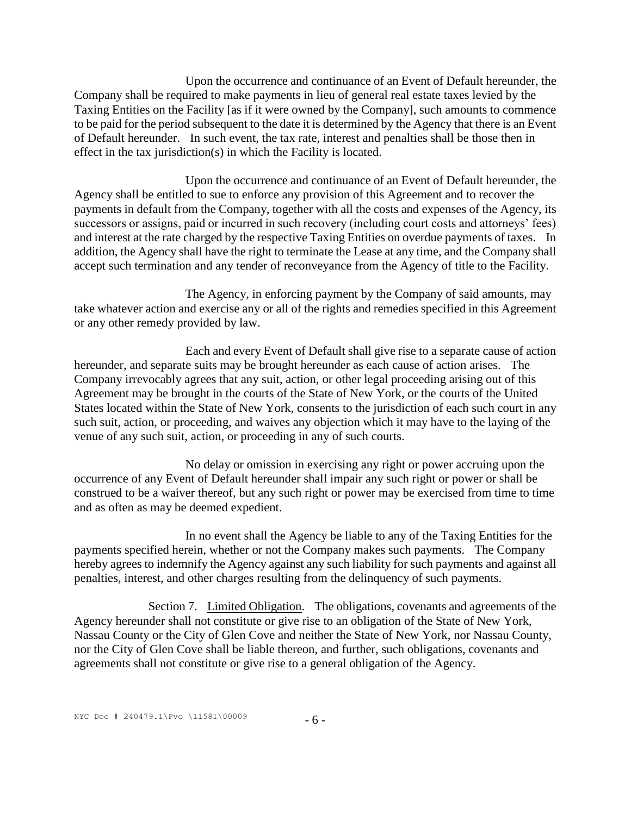Upon the occurrence and continuance of an Event of Default hereunder, the Company shall be required to make payments in lieu of general real estate taxes levied by the Taxing Entities on the Facility [as if it were owned by the Company], such amounts to commence to be paid for the period subsequent to the date it is determined by the Agency that there is an Event of Default hereunder. In such event, the tax rate, interest and penalties shall be those then in effect in the tax jurisdiction(s) in which the Facility is located.

Upon the occurrence and continuance of an Event of Default hereunder, the Agency shall be entitled to sue to enforce any provision of this Agreement and to recover the payments in default from the Company, together with all the costs and expenses of the Agency, its successors or assigns, paid or incurred in such recovery (including court costs and attorneys' fees) and interest at the rate charged by the respective Taxing Entities on overdue payments of taxes. In addition, the Agency shall have the right to terminate the Lease at any time, and the Company shall accept such termination and any tender of reconveyance from the Agency of title to the Facility.

The Agency, in enforcing payment by the Company of said amounts, may take whatever action and exercise any or all of the rights and remedies specified in this Agreement or any other remedy provided by law.

Each and every Event of Default shall give rise to a separate cause of action hereunder, and separate suits may be brought hereunder as each cause of action arises. The Company irrevocably agrees that any suit, action, or other legal proceeding arising out of this Agreement may be brought in the courts of the State of New York, or the courts of the United States located within the State of New York, consents to the jurisdiction of each such court in any such suit, action, or proceeding, and waives any objection which it may have to the laying of the venue of any such suit, action, or proceeding in any of such courts.

No delay or omission in exercising any right or power accruing upon the occurrence of any Event of Default hereunder shall impair any such right or power or shall be construed to be a waiver thereof, but any such right or power may be exercised from time to time and as often as may be deemed expedient.

In no event shall the Agency be liable to any of the Taxing Entities for the payments specified herein, whether or not the Company makes such payments. The Company hereby agrees to indemnify the Agency against any such liability for such payments and against all penalties, interest, and other charges resulting from the delinquency of such payments.

Section 7. Limited Obligation. The obligations, covenants and agreements of the Agency hereunder shall not constitute or give rise to an obligation of the State of New York, Nassau County or the City of Glen Cove and neither the State of New York, nor Nassau County, nor the City of Glen Cove shall be liable thereon, and further, such obligations, covenants and agreements shall not constitute or give rise to a general obligation of the Agency.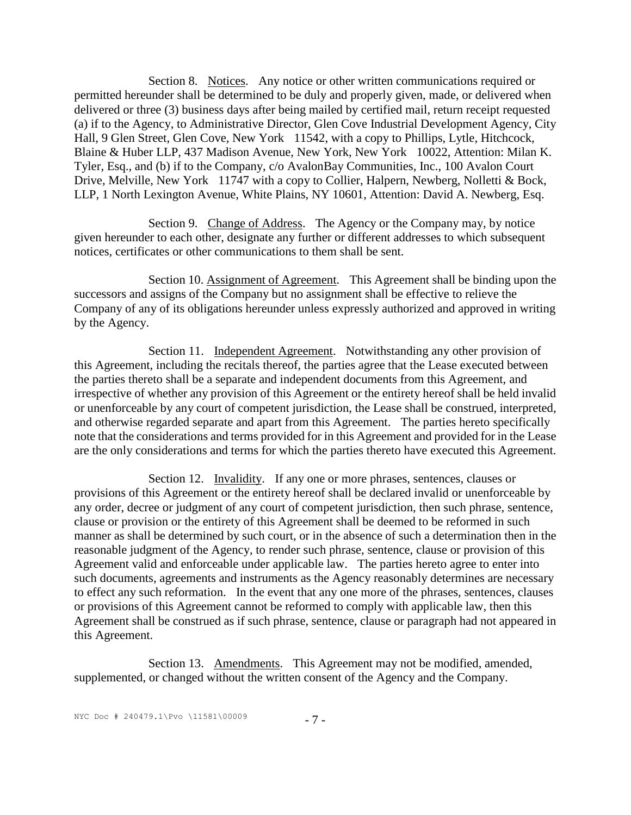Section 8. Notices. Any notice or other written communications required or permitted hereunder shall be determined to be duly and properly given, made, or delivered when delivered or three (3) business days after being mailed by certified mail, return receipt requested (a) if to the Agency, to Administrative Director, Glen Cove Industrial Development Agency, City Hall, 9 Glen Street, Glen Cove, New York 11542, with a copy to Phillips, Lytle, Hitchcock, Blaine & Huber LLP, 437 Madison Avenue, New York, New York 10022, Attention: Milan K. Tyler, Esq., and (b) if to the Company, c/o AvalonBay Communities, Inc., 100 Avalon Court Drive, Melville, New York 11747 with a copy to Collier, Halpern, Newberg, Nolletti & Bock, LLP, 1 North Lexington Avenue, White Plains, NY 10601, Attention: David A. Newberg, Esq.

Section 9. Change of Address. The Agency or the Company may, by notice given hereunder to each other, designate any further or different addresses to which subsequent notices, certificates or other communications to them shall be sent.

Section 10. Assignment of Agreement. This Agreement shall be binding upon the successors and assigns of the Company but no assignment shall be effective to relieve the Company of any of its obligations hereunder unless expressly authorized and approved in writing by the Agency.

Section 11. Independent Agreement. Notwithstanding any other provision of this Agreement, including the recitals thereof, the parties agree that the Lease executed between the parties thereto shall be a separate and independent documents from this Agreement, and irrespective of whether any provision of this Agreement or the entirety hereof shall be held invalid or unenforceable by any court of competent jurisdiction, the Lease shall be construed, interpreted, and otherwise regarded separate and apart from this Agreement. The parties hereto specifically note that the considerations and terms provided for in this Agreement and provided for in the Lease are the only considerations and terms for which the parties thereto have executed this Agreement.

Section 12. Invalidity. If any one or more phrases, sentences, clauses or provisions of this Agreement or the entirety hereof shall be declared invalid or unenforceable by any order, decree or judgment of any court of competent jurisdiction, then such phrase, sentence, clause or provision or the entirety of this Agreement shall be deemed to be reformed in such manner as shall be determined by such court, or in the absence of such a determination then in the reasonable judgment of the Agency, to render such phrase, sentence, clause or provision of this Agreement valid and enforceable under applicable law. The parties hereto agree to enter into such documents, agreements and instruments as the Agency reasonably determines are necessary to effect any such reformation. In the event that any one more of the phrases, sentences, clauses or provisions of this Agreement cannot be reformed to comply with applicable law, then this Agreement shall be construed as if such phrase, sentence, clause or paragraph had not appeared in this Agreement.

Section 13. Amendments. This Agreement may not be modified, amended, supplemented, or changed without the written consent of the Agency and the Company.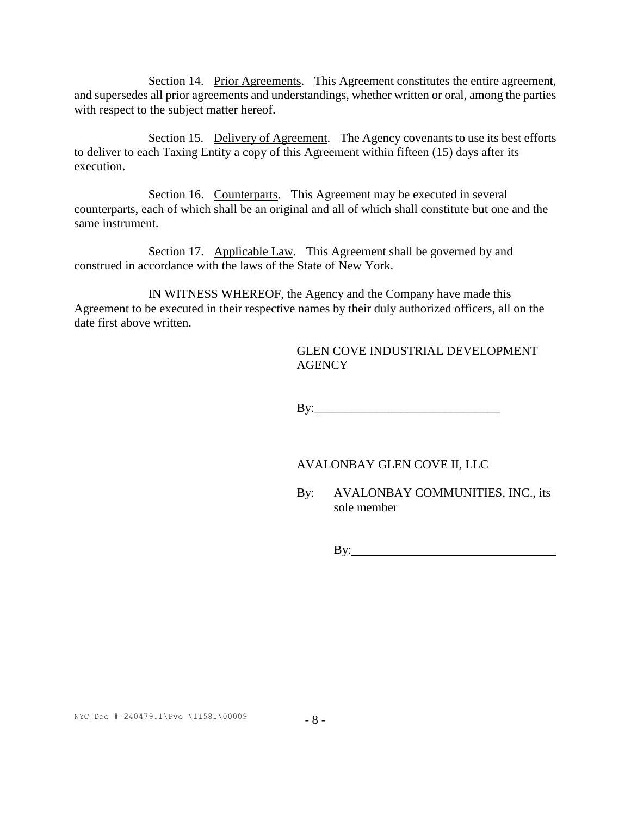Section 14. Prior Agreements. This Agreement constitutes the entire agreement, and supersedes all prior agreements and understandings, whether written or oral, among the parties with respect to the subject matter hereof.

Section 15. Delivery of Agreement. The Agency covenants to use its best efforts to deliver to each Taxing Entity a copy of this Agreement within fifteen (15) days after its execution.

Section 16. Counterparts. This Agreement may be executed in several counterparts, each of which shall be an original and all of which shall constitute but one and the same instrument.

Section 17. Applicable Law. This Agreement shall be governed by and construed in accordance with the laws of the State of New York.

IN WITNESS WHEREOF, the Agency and the Company have made this Agreement to be executed in their respective names by their duly authorized officers, all on the date first above written.

> GLEN COVE INDUSTRIAL DEVELOPMENT **AGENCY**

 $\mathbf{B} \mathbf{y}$ :

#### AVALONBAY GLEN COVE II, LLC

By: AVALONBAY COMMUNITIES, INC., its sole member

By: